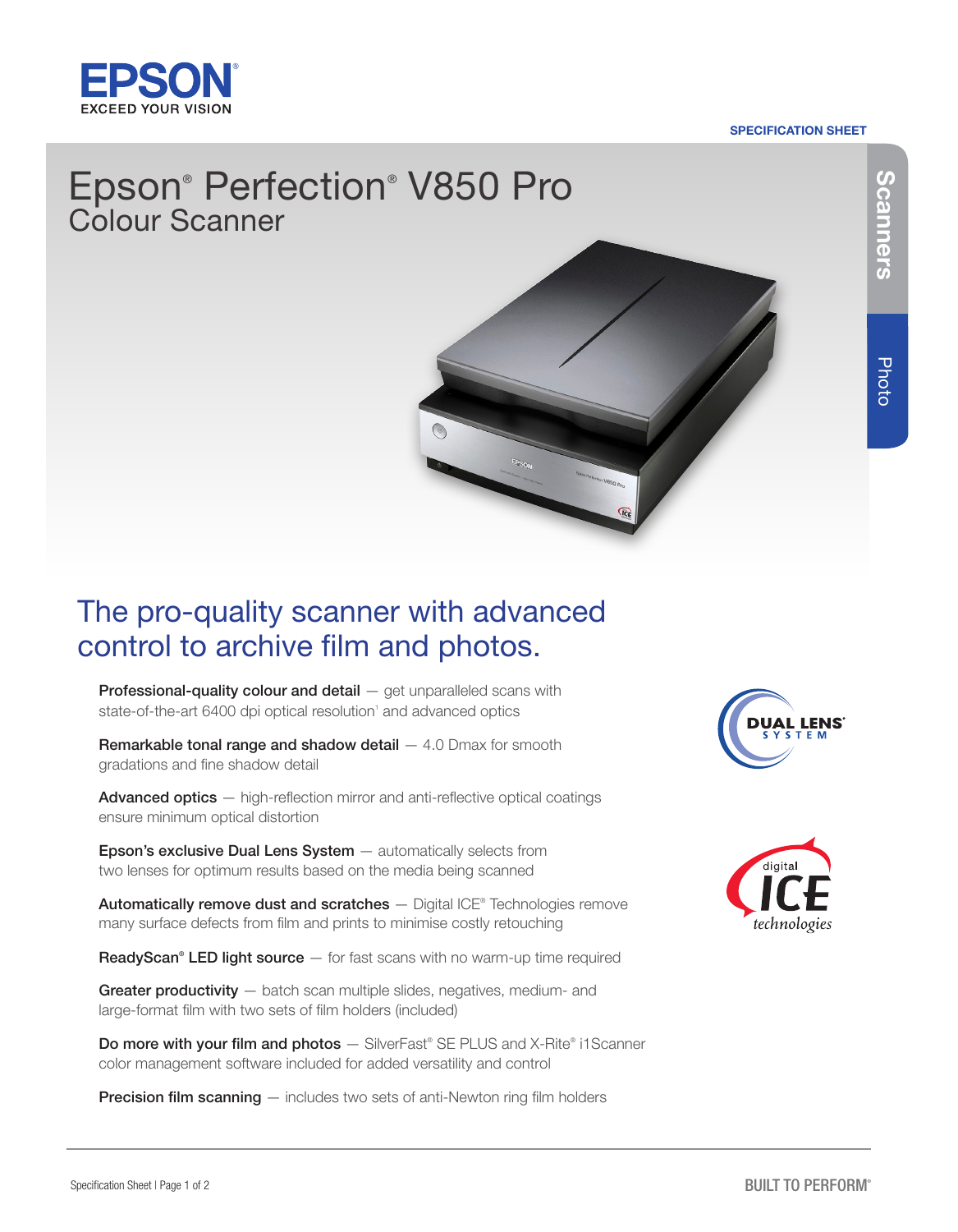

### SPECIFICATION SHEET

# Epson® Perfection® V850 Pro Colour Scanner



# The pro-quality scanner with advanced control to archive film and photos.

Professional-quality colour and detail  $-$  get unparalleled scans with state-of-the-art 6400 dpi optical resolution<sup>1</sup> and advanced optics

**Remarkable tonal range and shadow detail**  $-4.0$  **Dmax for smooth** gradations and fine shadow detail

Advanced optics - high-reflection mirror and anti-reflective optical coatings ensure minimum optical distortion

Epson's exclusive Dual Lens System - automatically selects from two lenses for optimum results based on the media being scanned

**Automatically remove dust and scratches** - Digital ICE® Technologies remove many surface defects from film and prints to minimise costly retouching

ReadyScan<sup>®</sup> LED light source  $-$  for fast scans with no warm-up time required

Greater productivity – batch scan multiple slides, negatives, medium- and large-format film with two sets of film holders (included)

Do more with your film and photos - SilverFast® SE PLUS and X-Rite® i1Scanner color management software included for added versatility and control

**Precision film scanning** — includes two sets of anti-Newton ring film holders